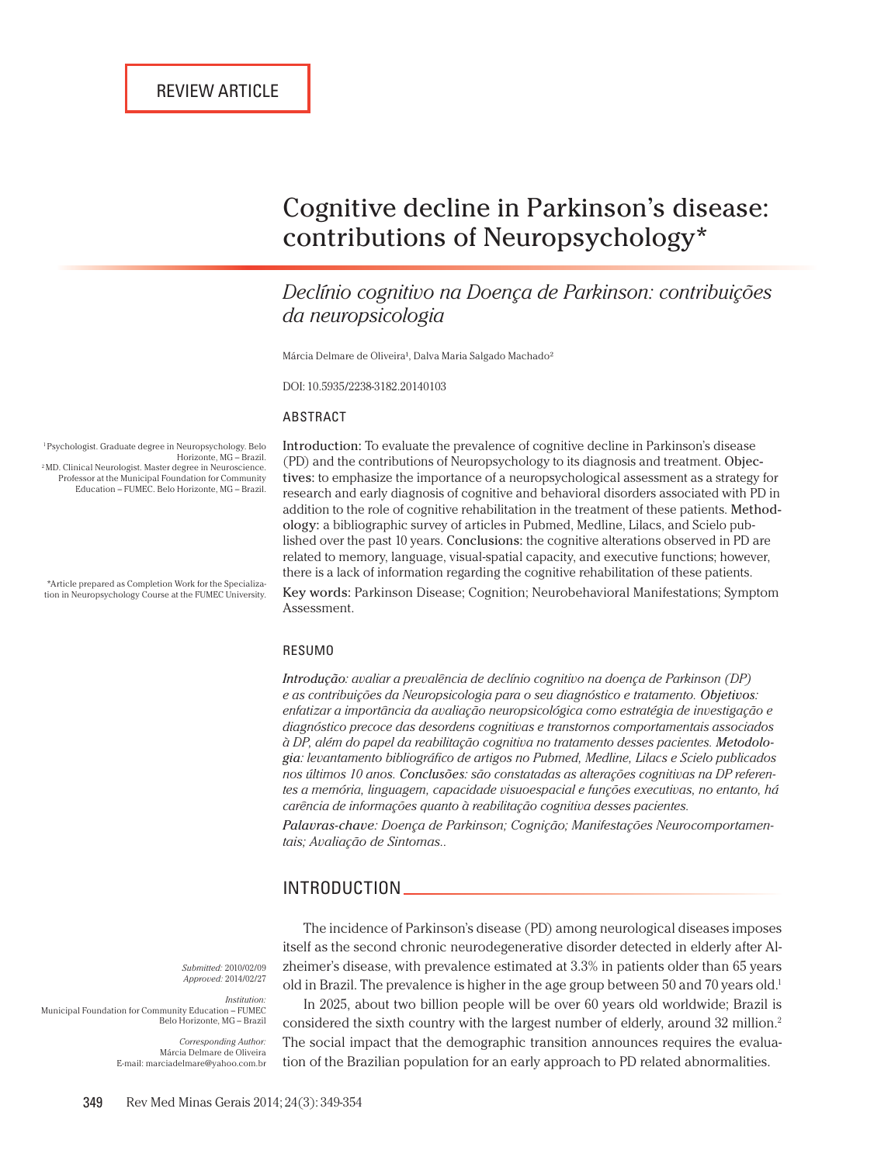# Cognitive decline in Parkinson's disease: contributions of Neuropsychology\*

## *Declínio cognitivo na Doença de Parkinson: contribuições da neuropsicologia*

Márcia Delmare de Oliveira<sup>1</sup>, Dalva Maria Salgado Machado<sup>2</sup>

DOI: 10.5935/2238-3182.20140103

#### ABSTRACT

1 Psychologist. Graduate degree in Neuropsychology. Belo  $2$ MD. Clinical Neurologist. Master degree in Neuroscience. Professor at the Municipal Foundation for Community

Introduction: To evaluate the prevalence of cognitive decline in Parkinson's disease (PD) and the contributions of Neuropsychology to its diagnosis and treatment. Objectives: to emphasize the importance of a neuropsychological assessment as a strategy for research and early diagnosis of cognitive and behavioral disorders associated with PD in addition to the role of cognitive rehabilitation in the treatment of these patients. Methodology: a bibliographic survey of articles in Pubmed, Medline, Lilacs, and Scielo published over the past 10 years. Conclusions: the cognitive alterations observed in PD are related to memory, language, visual-spatial capacity, and executive functions; however, there is a lack of information regarding the cognitive rehabilitation of these patients.

Key words: Parkinson Disease; Cognition; Neurobehavioral Manifestations; Symptom Assessment.

#### RESUMO

*Introdução: avaliar a prevalência de declínio cognitivo na doença de Parkinson (DP) e as contribuições da Neuropsicologia para o seu diagnóstico e tratamento. Objetivos: enfatizar a importância da avaliação neuropsicológica como estratégia de investigação e diagnóstico precoce das desordens cognitivas e transtornos comportamentais associados*   $\hat{a}$  DP, além do papel da reabilitação cognitiva no tratamento desses pacientes. Metodolo*gia: levantamento bibliográfico de artigos no Pubmed, Medline, Lilacs e Scielo publicados nos últimos 10 anos. Conclusões: são constatadas as alterações cognitivas na DP referentes a memória, linguagem, capacidade visuoespacial e funções executivas, no entanto, há carência de informações quanto à reabilitação cognitiva desses pacientes.*

*Palavras-chave: Doença de Parkinson; Cognição; Manifestações Neurocomportamentais; Avaliação de Sintomas..*

#### INTRODUCTION

The incidence of Parkinson's disease (PD) among neurological diseases imposes itself as the second chronic neurodegenerative disorder detected in elderly after Alzheimer's disease, with prevalence estimated at 3.3% in patients older than 65 years old in Brazil. The prevalence is higher in the age group between 50 and 70 years old.<sup>1</sup>

*Submitted:* 2010/02/09 *Approved:* 2014/02/27

*Institution:* Municipal Foundation for Community Education – FUMEC Belo Horizonte, MG – Brazil

> *Corresponding Author:* Márcia Delmare de Oliveira E-mail: marciadelmare@yahoo.com.br

In 2025, about two billion people will be over 60 years old worldwide; Brazil is considered the sixth country with the largest number of elderly, around 32 million.<sup>2</sup> The social impact that the demographic transition announces requires the evaluation of the Brazilian population for an early approach to PD related abnormalities.

Education – FUMEC. Belo Horizonte, MG – Brazil.

\*Article prepared as Completion Work for the Specialization in Neuropsychology Course at the FUMEC University.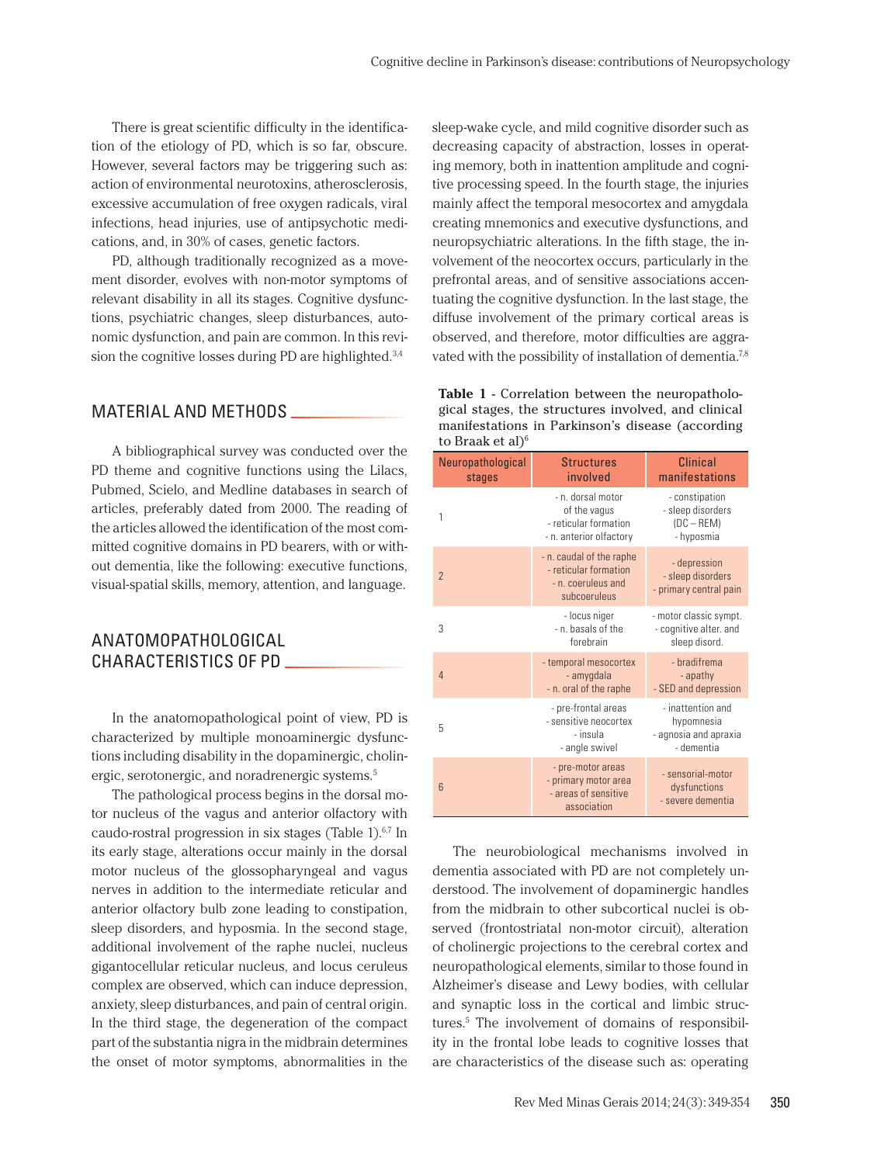There is great scientific difficulty in the identification of the etiology of PD, which is so far, obscure. However, several factors may be triggering such as: action of environmental neurotoxins, atherosclerosis, excessive accumulation of free oxygen radicals, viral infections, head injuries, use of antipsychotic medications, and, in 30% of cases, genetic factors.

PD, although traditionally recognized as a movement disorder, evolves with non-motor symptoms of relevant disability in all its stages. Cognitive dysfunctions, psychiatric changes, sleep disturbances, autonomic dysfunction, and pain are common. In this revision the cognitive losses during PD are highlighted.3,4

#### MATERIAL AND METHODS

A bibliographical survey was conducted over the PD theme and cognitive functions using the Lilacs, Pubmed, Scielo, and Medline databases in search of articles, preferably dated from 2000. The reading of the articles allowed the identification of the most committed cognitive domains in PD bearers, with or without dementia, like the following: executive functions, visual-spatial skills, memory, attention, and language.

#### ANATOMOPATHOLOGICAL CHARACTERISTICS OF PD

In the anatomopathological point of view, PD is characterized by multiple monoaminergic dysfunctions including disability in the dopaminergic, cholinergic, serotonergic, and noradrenergic systems.5

The pathological process begins in the dorsal motor nucleus of the vagus and anterior olfactory with caudo-rostral progression in six stages (Table 1).<sup>6,7</sup> In its early stage, alterations occur mainly in the dorsal motor nucleus of the glossopharyngeal and vagus nerves in addition to the intermediate reticular and anterior olfactory bulb zone leading to constipation, sleep disorders, and hyposmia. In the second stage, additional involvement of the raphe nuclei, nucleus gigantocellular reticular nucleus, and locus ceruleus complex are observed, which can induce depression, anxiety, sleep disturbances, and pain of central origin. In the third stage, the degeneration of the compact part of the substantia nigra in the midbrain determines the onset of motor symptoms, abnormalities in the

sleep-wake cycle, and mild cognitive disorder such as decreasing capacity of abstraction, losses in operating memory, both in inattention amplitude and cognitive processing speed. In the fourth stage, the injuries mainly affect the temporal mesocortex and amygdala creating mnemonics and executive dysfunctions, and neuropsychiatric alterations. In the fifth stage, the involvement of the neocortex occurs, particularly in the prefrontal areas, and of sensitive associations accentuating the cognitive dysfunction. In the last stage, the diffuse involvement of the primary cortical areas is observed, and therefore, motor difficulties are aggravated with the possibility of installation of dementia.7,8

| <b>Table 1 - Correlation between the neuropatholo-</b> |
|--------------------------------------------------------|
| gical stages, the structures involved, and clinical    |
| manifestations in Parkinson's disease (according)      |
| to Braak et al <sup>6</sup>                            |

| Neuropathological<br>stages | <b>Structures</b><br>involved                                                           | <b>Clinical</b><br>manifestations                                      |
|-----------------------------|-----------------------------------------------------------------------------------------|------------------------------------------------------------------------|
| 1                           | - n. dorsal motor<br>of the vagus<br>- reticular formation<br>- n. anterior olfactory   | - constipation<br>- sleep disorders<br>$(DC - REM)$<br>- hyposmia      |
| $\overline{2}$              | - n. caudal of the raphe<br>- reticular formation<br>- n. coeruleus and<br>subcoeruleus | - depression<br>- sleep disorders<br>- primary central pain            |
| 3                           | - locus niger<br>- n. basals of the<br>forebrain                                        | - motor classic sympt.<br>- cognitive alter. and<br>sleep disord.      |
| $\overline{4}$              | - temporal mesocortex<br>- amygdala<br>- n. oral of the raphe                           | - bradifrema<br>- apathy<br>- SED and depression                       |
| 5                           | - pre-frontal areas<br>- sensitive neocortex<br>- insula<br>- angle swivel              | - inattention and<br>hypomnesia<br>- agnosia and apraxia<br>- dementia |
| $6\overline{6}$             | - pre-motor areas<br>- primary motor area<br>- areas of sensitive<br>association        | - sensorial-motor<br>dysfunctions<br>- severe dementia                 |

The neurobiological mechanisms involved in dementia associated with PD are not completely understood. The involvement of dopaminergic handles from the midbrain to other subcortical nuclei is observed (frontostriatal non-motor circuit), alteration of cholinergic projections to the cerebral cortex and neuropathological elements, similar to those found in Alzheimer's disease and Lewy bodies, with cellular and synaptic loss in the cortical and limbic structures.5 The involvement of domains of responsibility in the frontal lobe leads to cognitive losses that are characteristics of the disease such as: operating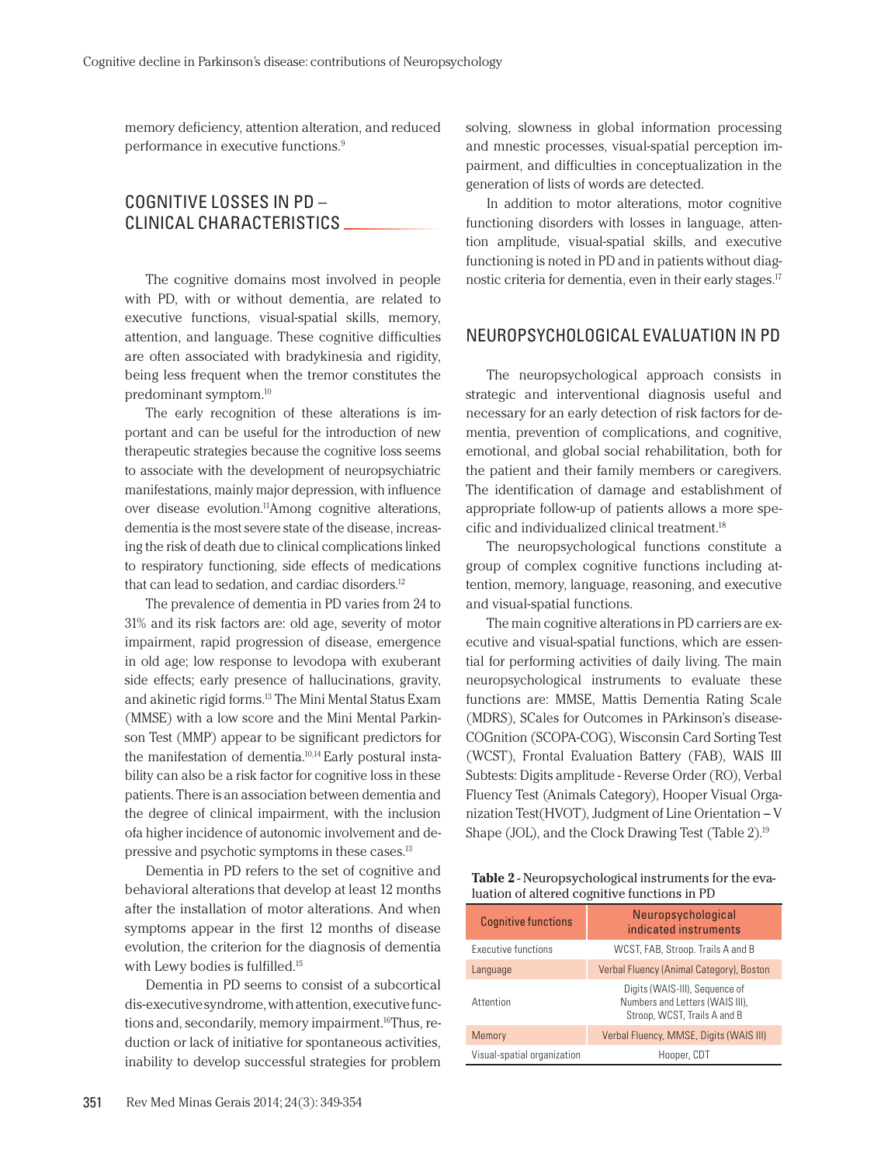memory deficiency, attention alteration, and reduced performance in executive functions.9

## COGNITIVE LOSSES IN PD – CLINICAL CHARACTERISTICS

The cognitive domains most involved in people with PD, with or without dementia, are related to executive functions, visual-spatial skills, memory, attention, and language. These cognitive difficulties are often associated with bradykinesia and rigidity, being less frequent when the tremor constitutes the predominant symptom.10

The early recognition of these alterations is important and can be useful for the introduction of new therapeutic strategies because the cognitive loss seems to associate with the development of neuropsychiatric manifestations, mainly major depression, with influence over disease evolution.<sup>11</sup>Among cognitive alterations, dementia is the most severe state of the disease, increasing the risk of death due to clinical complications linked to respiratory functioning, side effects of medications that can lead to sedation, and cardiac disorders.<sup>12</sup>

The prevalence of dementia in PD varies from 24 to 31% and its risk factors are: old age, severity of motor impairment, rapid progression of disease, emergence in old age; low response to levodopa with exuberant side effects; early presence of hallucinations, gravity, and akinetic rigid forms.13 The Mini Mental Status Exam (MMSE) with a low score and the Mini Mental Parkinson Test (MMP) appear to be significant predictors for the manifestation of dementia.<sup>10,14</sup> Early postural instability can also be a risk factor for cognitive loss in these patients. There is an association between dementia and the degree of clinical impairment, with the inclusion ofa higher incidence of autonomic involvement and depressive and psychotic symptoms in these cases.13

Dementia in PD refers to the set of cognitive and behavioral alterations that develop at least 12 months after the installation of motor alterations. And when symptoms appear in the first 12 months of disease evolution, the criterion for the diagnosis of dementia with Lewy bodies is fulfilled.15

Dementia in PD seems to consist of a subcortical dis-executive syndrome, with attention, executive functions and, secondarily, memory impairment.<sup>16</sup>Thus, reduction or lack of initiative for spontaneous activities, inability to develop successful strategies for problem solving, slowness in global information processing and mnestic processes, visual-spatial perception impairment, and difficulties in conceptualization in the generation of lists of words are detected.

In addition to motor alterations, motor cognitive functioning disorders with losses in language, attention amplitude, visual-spatial skills, and executive functioning is noted in PD and in patients without diagnostic criteria for dementia, even in their early stages.17

#### NEUROPSYCHOLOGICAL EVALUATION IN PD

The neuropsychological approach consists in strategic and interventional diagnosis useful and necessary for an early detection of risk factors for dementia, prevention of complications, and cognitive, emotional, and global social rehabilitation, both for the patient and their family members or caregivers. The identification of damage and establishment of appropriate follow-up of patients allows a more specific and individualized clinical treatment.18

The neuropsychological functions constitute a group of complex cognitive functions including attention, memory, language, reasoning, and executive and visual-spatial functions.

The main cognitive alterations in PD carriers are executive and visual-spatial functions, which are essential for performing activities of daily living. The main neuropsychological instruments to evaluate these functions are: MMSE, Mattis Dementia Rating Scale (MDRS), SCales for Outcomes in PArkinson's disease-COGnition (SCOPA-COG), Wisconsin Card Sorting Test (WCST), Frontal Evaluation Battery (FAB), WAIS III Subtests: Digits amplitude - Reverse Order (RO), Verbal Fluency Test (Animals Category), Hooper Visual Organization Test(HVOT), Judgment of Line Orientation – V Shape (JOL), and the Clock Drawing Test (Table 2).19

| <b>Table 2</b> - Neuropsychological instruments for the eva- |
|--------------------------------------------------------------|
| luation of altered cognitive functions in PD                 |

| <b>Cognitive functions</b>  | Neuropsychological<br>indicated instruments                                                       |  |
|-----------------------------|---------------------------------------------------------------------------------------------------|--|
| Executive functions         | WCST, FAB, Stroop. Trails A and B                                                                 |  |
| Language                    | Verbal Fluency (Animal Category), Boston                                                          |  |
| Attention                   | Digits (WAIS-III), Sequence of<br>Numbers and Letters (WAIS III),<br>Stroop, WCST, Trails A and B |  |
| Memory                      | Verbal Fluency, MMSE, Digits (WAIS III)                                                           |  |
| Visual-spatial organization | Hooper, CDT                                                                                       |  |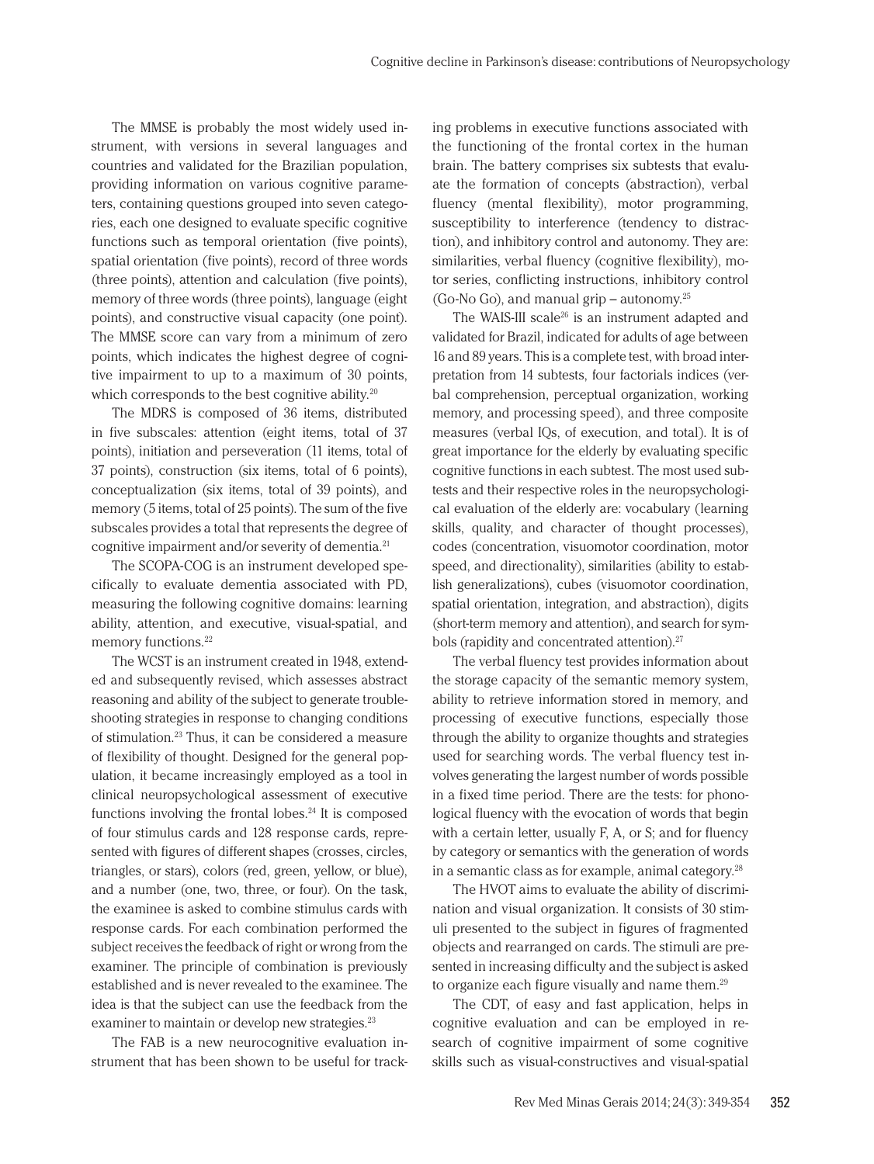The MMSE is probably the most widely used instrument, with versions in several languages and countries and validated for the Brazilian population, providing information on various cognitive parameters, containing questions grouped into seven categories, each one designed to evaluate specific cognitive functions such as temporal orientation (five points), spatial orientation (five points), record of three words (three points), attention and calculation (five points), memory of three words (three points), language (eight points), and constructive visual capacity (one point). The MMSE score can vary from a minimum of zero points, which indicates the highest degree of cognitive impairment to up to a maximum of 30 points, which corresponds to the best cognitive ability.<sup>20</sup>

The MDRS is composed of 36 items, distributed in five subscales: attention (eight items, total of 37 points), initiation and perseveration (11 items, total of 37 points), construction (six items, total of 6 points), conceptualization (six items, total of 39 points), and memory (5 items, total of 25 points). The sum of the five subscales provides a total that represents the degree of cognitive impairment and/or severity of dementia.21

The SCOPA-COG is an instrument developed specifically to evaluate dementia associated with PD, measuring the following cognitive domains: learning ability, attention, and executive, visual-spatial, and memory functions.<sup>22</sup>

The WCST is an instrument created in 1948, extended and subsequently revised, which assesses abstract reasoning and ability of the subject to generate troubleshooting strategies in response to changing conditions of stimulation.23 Thus, it can be considered a measure of flexibility of thought. Designed for the general population, it became increasingly employed as a tool in clinical neuropsychological assessment of executive functions involving the frontal lobes. $24$  It is composed of four stimulus cards and 128 response cards, represented with figures of different shapes (crosses, circles, triangles, or stars), colors (red, green, yellow, or blue), and a number (one, two, three, or four). On the task, the examinee is asked to combine stimulus cards with response cards. For each combination performed the subject receives the feedback of right or wrong from the examiner. The principle of combination is previously established and is never revealed to the examinee. The idea is that the subject can use the feedback from the examiner to maintain or develop new strategies.<sup>23</sup>

The FAB is a new neurocognitive evaluation instrument that has been shown to be useful for tracking problems in executive functions associated with the functioning of the frontal cortex in the human brain. The battery comprises six subtests that evaluate the formation of concepts (abstraction), verbal fluency (mental flexibility), motor programming, susceptibility to interference (tendency to distraction), and inhibitory control and autonomy. They are: similarities, verbal fluency (cognitive flexibility), motor series, conflicting instructions, inhibitory control (Go-No Go), and manual grip – autonomy.<sup>25</sup>

The WAIS-III scale<sup>26</sup> is an instrument adapted and validated for Brazil, indicated for adults of age between 16 and 89 years. This is a complete test, with broad interpretation from 14 subtests, four factorials indices (verbal comprehension, perceptual organization, working memory, and processing speed), and three composite measures (verbal IQs, of execution, and total). It is of great importance for the elderly by evaluating specific cognitive functions in each subtest. The most used subtests and their respective roles in the neuropsychological evaluation of the elderly are: vocabulary (learning skills, quality, and character of thought processes), codes (concentration, visuomotor coordination, motor speed, and directionality), similarities (ability to establish generalizations), cubes (visuomotor coordination, spatial orientation, integration, and abstraction), digits (short-term memory and attention), and search for symbols (rapidity and concentrated attention).<sup>27</sup>

The verbal fluency test provides information about the storage capacity of the semantic memory system, ability to retrieve information stored in memory, and processing of executive functions, especially those through the ability to organize thoughts and strategies used for searching words. The verbal fluency test involves generating the largest number of words possible in a fixed time period. There are the tests: for phonological fluency with the evocation of words that begin with a certain letter, usually F, A, or S; and for fluency by category or semantics with the generation of words in a semantic class as for example, animal category. $^{28}$ 

The HVOT aims to evaluate the ability of discrimination and visual organization. It consists of 30 stimuli presented to the subject in figures of fragmented objects and rearranged on cards. The stimuli are presented in increasing difficulty and the subject is asked to organize each figure visually and name them.<sup>29</sup>

The CDT, of easy and fast application, helps in cognitive evaluation and can be employed in research of cognitive impairment of some cognitive skills such as visual-constructives and visual-spatial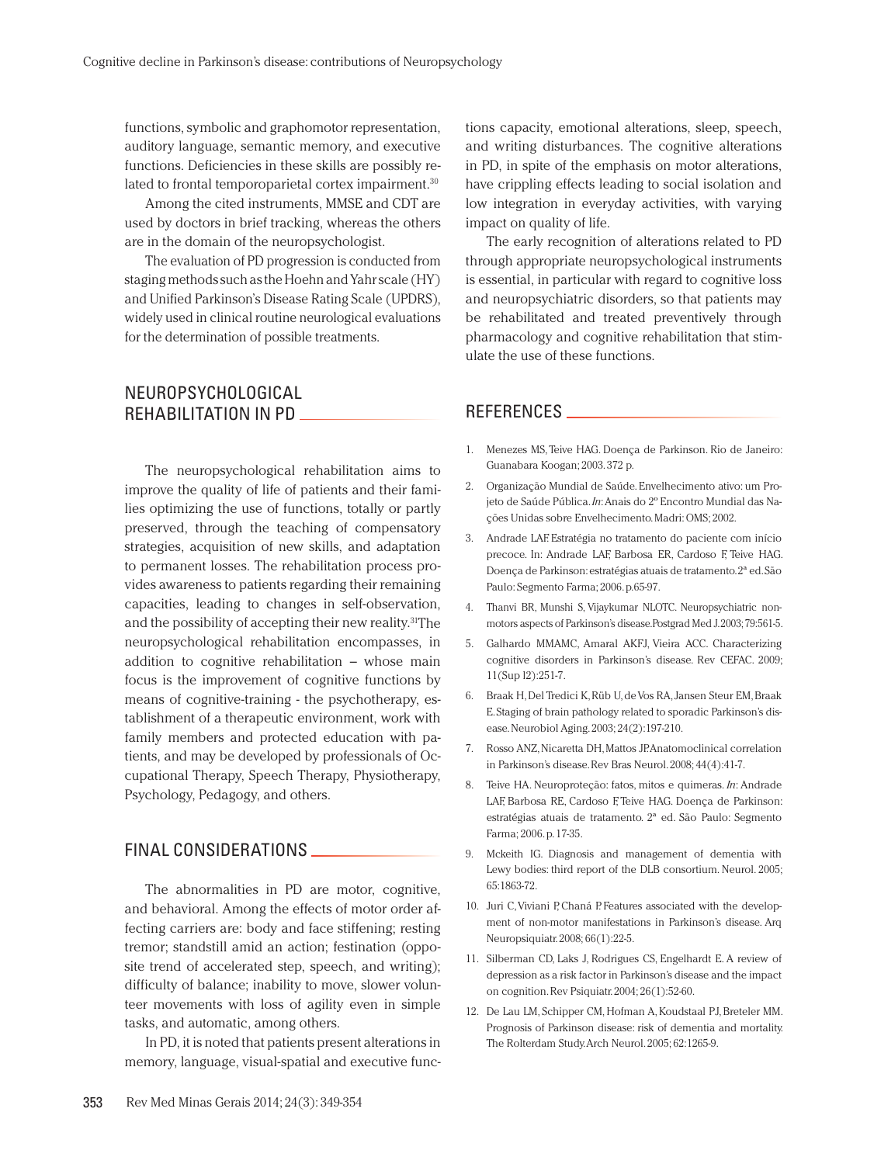functions, symbolic and graphomotor representation, auditory language, semantic memory, and executive functions. Deficiencies in these skills are possibly related to frontal temporoparietal cortex impairment.<sup>30</sup>

Among the cited instruments, MMSE and CDT are used by doctors in brief tracking, whereas the others are in the domain of the neuropsychologist.

The evaluation of PD progression is conducted from staging methods such as the Hoehn and Yahr scale (HY) and Unified Parkinson's Disease Rating Scale (UPDRS), widely used in clinical routine neurological evaluations for the determination of possible treatments.

### NEUROPSYCHOLOGICAL REHABILITATION IN PD

The neuropsychological rehabilitation aims to improve the quality of life of patients and their families optimizing the use of functions, totally or partly preserved, through the teaching of compensatory strategies, acquisition of new skills, and adaptation to permanent losses. The rehabilitation process provides awareness to patients regarding their remaining capacities, leading to changes in self-observation, and the possibility of accepting their new reality.<sup>31</sup>The neuropsychological rehabilitation encompasses, in addition to cognitive rehabilitation – whose main focus is the improvement of cognitive functions by means of cognitive-training - the psychotherapy, establishment of a therapeutic environment, work with family members and protected education with patients, and may be developed by professionals of Occupational Therapy, Speech Therapy, Physiotherapy, Psychology, Pedagogy, and others.

#### FINAL CONSIDERATIONS

The abnormalities in PD are motor, cognitive, and behavioral. Among the effects of motor order affecting carriers are: body and face stiffening; resting tremor; standstill amid an action; festination (opposite trend of accelerated step, speech, and writing); difficulty of balance; inability to move, slower volunteer movements with loss of agility even in simple tasks, and automatic, among others.

In PD, it is noted that patients present alterations in memory, language, visual-spatial and executive functions capacity, emotional alterations, sleep, speech, and writing disturbances. The cognitive alterations in PD, in spite of the emphasis on motor alterations, have crippling effects leading to social isolation and low integration in everyday activities, with varying impact on quality of life.

The early recognition of alterations related to PD through appropriate neuropsychological instruments is essential, in particular with regard to cognitive loss and neuropsychiatric disorders, so that patients may be rehabilitated and treated preventively through pharmacology and cognitive rehabilitation that stimulate the use of these functions.

#### REFERENCES

- 1. Menezes MS, Teive HAG. Doença de Parkinson. Rio de Janeiro: Guanabara Koogan; 2003. 372 p.
- 2. Organização Mundial de Saúde. Envelhecimento ativo: um Projeto de Saúde Pública. *In*: Anais do 2º Encontro Mundial das Nações Unidas sobre Envelhecimento. Madri: OMS; 2002.
- 3. Andrade LAF. Estratégia no tratamento do paciente com início precoce. In: Andrade LAF, Barbosa ER, Cardoso F, Teive HAG. Doença de Parkinson: estratégias atuais de tratamento. 2ª ed. São Paulo: Segmento Farma; 2006. p.65-97.
- 4. Thanvi BR, Munshi S, Vijaykumar NLOTC. Neuropsychiatric nonmotors aspects of Parkinson's disease.Postgrad Med J. 2003; 79:561-5.
- 5. Galhardo MMAMC, Amaral AKFJ, Vieira ACC. Characterizing cognitive disorders in Parkinson's disease. Rev CEFAC. 2009; 11(Sup l2):251-7.
- 6. Braak H, Del Tredici K, Rüb U, de Vos RA, Jansen Steur EM, Braak E. Staging of brain pathology related to sporadic Parkinson's disease. Neurobiol Aging. 2003; 24(2):197-210.
- 7. Rosso ANZ, Nicaretta DH, Mattos JP. Anatomoclinical correlation in Parkinson's disease. Rev Bras Neurol. 2008; 44(4):41-7.
- 8. Teive HA. Neuroproteção: fatos, mitos e quimeras. *In*: Andrade LAF, Barbosa RE, Cardoso F, Teive HAG. Doença de Parkinson: estratégias atuais de tratamento. 2ª ed. São Paulo: Segmento Farma; 2006. p. 17-35.
- 9. Mckeith IG. Diagnosis and management of dementia with Lewy bodies: third report of the DLB consortium. Neurol. 2005; 65:1863-72.
- 10. Juri C, Viviani P, Chaná P. Features associated with the development of non-motor manifestations in Parkinson's disease. Arq Neuropsiquiatr. 2008; 66(1):22-5.
- 11. Silberman CD, Laks J, Rodrigues CS, Engelhardt E. A review of depression as a risk factor in Parkinson's disease and the impact on cognition. Rev Psiquiatr. 2004; 26(1):52-60.
- 12. De Lau LM, Schipper CM, Hofman A, Koudstaal PJ, Breteler MM. Prognosis of Parkinson disease: risk of dementia and mortality. The Rolterdam Study. Arch Neurol. 2005; 62:1265-9.